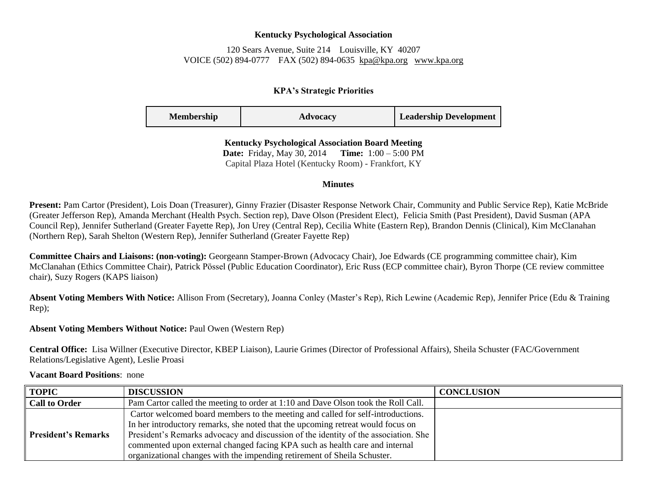### **Kentucky Psychological Association**

# 120 Sears Avenue, Suite 214 Louisville, KY 40207 VOICE (502) 894-0777 FAX (502) 894-0635 [kpa@kpa.org](mailto:kpa@kih.net) [www.kpa.org](http://www.kpa.org/)

# **KPA's Strategic Priorities**

| <b>Membership</b> | Advocacy | <b>Leadership Development</b> |
|-------------------|----------|-------------------------------|
|-------------------|----------|-------------------------------|

**Kentucky Psychological Association Board Meeting Date:** Friday, May 30, 2014 **Time:** 1:00 – 5:00 PM Capital Plaza Hotel (Kentucky Room) - Frankfort, KY

#### **Minutes**

**Present:** Pam Cartor (President), Lois Doan (Treasurer), Ginny Frazier (Disaster Response Network Chair, Community and Public Service Rep), Katie McBride (Greater Jefferson Rep), Amanda Merchant (Health Psych. Section rep), Dave Olson (President Elect), Felicia Smith (Past President), David Susman (APA Council Rep), Jennifer Sutherland (Greater Fayette Rep), Jon Urey (Central Rep), Cecilia White (Eastern Rep), Brandon Dennis (Clinical), Kim McClanahan (Northern Rep), Sarah Shelton (Western Rep), Jennifer Sutherland (Greater Fayette Rep)

**Committee Chairs and Liaisons: (non-voting):** Georgeann Stamper-Brown (Advocacy Chair), Joe Edwards (CE programming committee chair), Kim McClanahan (Ethics Committee Chair), Patrick Pӧssel (Public Education Coordinator), Eric Russ (ECP committee chair), Byron Thorpe (CE review committee chair), Suzy Rogers (KAPS liaison)

**Absent Voting Members With Notice:** Allison From (Secretary), Joanna Conley (Master's Rep), Rich Lewine (Academic Rep), Jennifer Price (Edu & Training Rep);

# **Absent Voting Members Without Notice:** Paul Owen (Western Rep)

**Central Office:** Lisa Willner (Executive Director, KBEP Liaison), Laurie Grimes (Director of Professional Affairs), Sheila Schuster (FAC/Government Relations/Legislative Agent), Leslie Proasi

**Vacant Board Positions**: none

| <b>TOPIC</b>               | <b>DISCUSSION</b>                                                                   | <b>CONCLUSION</b> |
|----------------------------|-------------------------------------------------------------------------------------|-------------------|
| <b>Call to Order</b>       | Pam Cartor called the meeting to order at 1:10 and Dave Olson took the Roll Call.   |                   |
| <b>President's Remarks</b> | Cartor welcomed board members to the meeting and called for self-introductions.     |                   |
|                            | In her introductory remarks, she noted that the upcoming retreat would focus on     |                   |
|                            | President's Remarks advocacy and discussion of the identity of the association. She |                   |
|                            | commented upon external changed facing KPA such as health care and internal         |                   |
|                            | organizational changes with the impending retirement of Sheila Schuster.            |                   |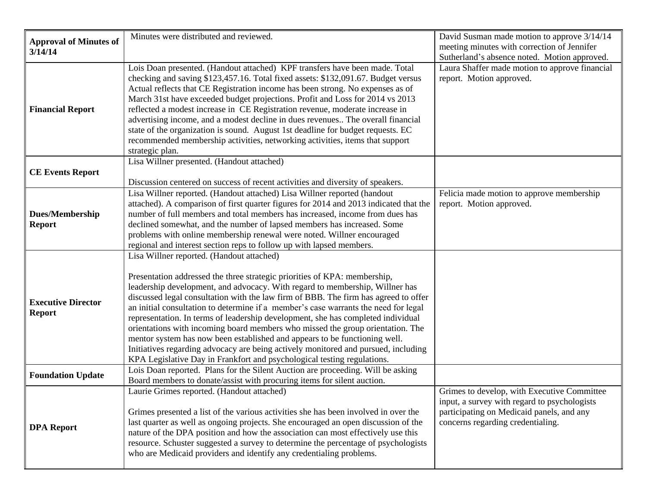| <b>Approval of Minutes of</b>              | Minutes were distributed and reviewed.                                                                                                                                                                                                                                                                                                                                                                                                                                                                                                                                                                                                                                                                                                                                                                    | David Susman made motion to approve 3/14/14<br>meeting minutes with correction of Jennifer                                                                                    |
|--------------------------------------------|-----------------------------------------------------------------------------------------------------------------------------------------------------------------------------------------------------------------------------------------------------------------------------------------------------------------------------------------------------------------------------------------------------------------------------------------------------------------------------------------------------------------------------------------------------------------------------------------------------------------------------------------------------------------------------------------------------------------------------------------------------------------------------------------------------------|-------------------------------------------------------------------------------------------------------------------------------------------------------------------------------|
| 3/14/14                                    |                                                                                                                                                                                                                                                                                                                                                                                                                                                                                                                                                                                                                                                                                                                                                                                                           | Sutherland's absence noted. Motion approved.                                                                                                                                  |
| <b>Financial Report</b>                    | Lois Doan presented. (Handout attached) KPF transfers have been made. Total<br>checking and saving \$123,457.16. Total fixed assets: \$132,091.67. Budget versus<br>Actual reflects that CE Registration income has been strong. No expenses as of<br>March 31st have exceeded budget projections. Profit and Loss for 2014 vs 2013<br>reflected a modest increase in CE Registration revenue, moderate increase in<br>advertising income, and a modest decline in dues revenues The overall financial<br>state of the organization is sound. August 1st deadline for budget requests. EC<br>recommended membership activities, networking activities, items that support<br>strategic plan.                                                                                                              | Laura Shaffer made motion to approve financial<br>report. Motion approved.                                                                                                    |
|                                            | Lisa Willner presented. (Handout attached)                                                                                                                                                                                                                                                                                                                                                                                                                                                                                                                                                                                                                                                                                                                                                                |                                                                                                                                                                               |
| <b>CE Events Report</b>                    | Discussion centered on success of recent activities and diversity of speakers.                                                                                                                                                                                                                                                                                                                                                                                                                                                                                                                                                                                                                                                                                                                            |                                                                                                                                                                               |
| <b>Dues/Membership</b><br><b>Report</b>    | Lisa Willner reported. (Handout attached) Lisa Willner reported (handout<br>attached). A comparison of first quarter figures for 2014 and 2013 indicated that the<br>number of full members and total members has increased, income from dues has<br>declined somewhat, and the number of lapsed members has increased. Some<br>problems with online membership renewal were noted. Willner encouraged<br>regional and interest section reps to follow up with lapsed members.                                                                                                                                                                                                                                                                                                                            | Felicia made motion to approve membership<br>report. Motion approved.                                                                                                         |
| <b>Executive Director</b><br><b>Report</b> | Lisa Willner reported. (Handout attached)<br>Presentation addressed the three strategic priorities of KPA: membership,<br>leadership development, and advocacy. With regard to membership, Willner has<br>discussed legal consultation with the law firm of BBB. The firm has agreed to offer<br>an initial consultation to determine if a member's case warrants the need for legal<br>representation. In terms of leadership development, she has completed individual<br>orientations with incoming board members who missed the group orientation. The<br>mentor system has now been established and appears to be functioning well.<br>Initiatives regarding advocacy are being actively monitored and pursued, including<br>KPA Legislative Day in Frankfort and psychological testing regulations. |                                                                                                                                                                               |
| <b>Foundation Update</b>                   | Lois Doan reported. Plans for the Silent Auction are proceeding. Will be asking<br>Board members to donate/assist with procuring items for silent auction.                                                                                                                                                                                                                                                                                                                                                                                                                                                                                                                                                                                                                                                |                                                                                                                                                                               |
| <b>DPA Report</b>                          | Laurie Grimes reported. (Handout attached)<br>Grimes presented a list of the various activities she has been involved in over the<br>last quarter as well as ongoing projects. She encouraged an open discussion of the<br>nature of the DPA position and how the association can most effectively use this<br>resource. Schuster suggested a survey to determine the percentage of psychologists<br>who are Medicaid providers and identify any credentialing problems.                                                                                                                                                                                                                                                                                                                                  | Grimes to develop, with Executive Committee<br>input, a survey with regard to psychologists<br>participating on Medicaid panels, and any<br>concerns regarding credentialing. |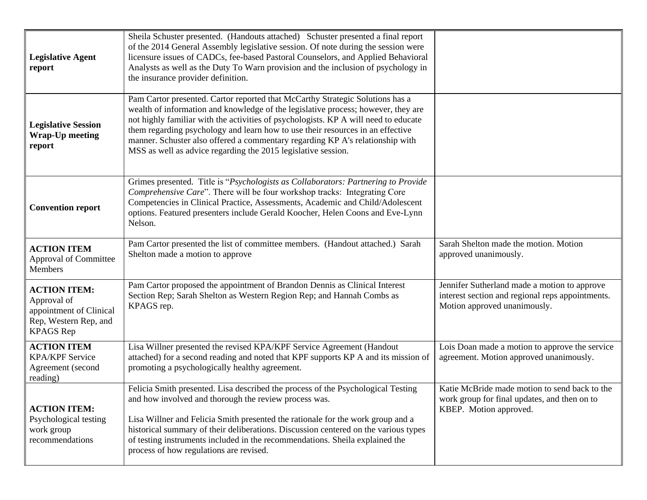| <b>Legislative Agent</b><br>report                                                                         | Sheila Schuster presented. (Handouts attached) Schuster presented a final report<br>of the 2014 General Assembly legislative session. Of note during the session were<br>licensure issues of CADCs, fee-based Pastoral Counselors, and Applied Behavioral<br>Analysts as well as the Duty To Warn provision and the inclusion of psychology in<br>the insurance provider definition.                                                                                                          |                                                                                                                                  |
|------------------------------------------------------------------------------------------------------------|-----------------------------------------------------------------------------------------------------------------------------------------------------------------------------------------------------------------------------------------------------------------------------------------------------------------------------------------------------------------------------------------------------------------------------------------------------------------------------------------------|----------------------------------------------------------------------------------------------------------------------------------|
| <b>Legislative Session</b><br><b>Wrap-Up meeting</b><br>report                                             | Pam Cartor presented. Cartor reported that McCarthy Strategic Solutions has a<br>wealth of information and knowledge of the legislative process; however, they are<br>not highly familiar with the activities of psychologists. KP A will need to educate<br>them regarding psychology and learn how to use their resources in an effective<br>manner. Schuster also offered a commentary regarding KP A's relationship with<br>MSS as well as advice regarding the 2015 legislative session. |                                                                                                                                  |
| <b>Convention report</b>                                                                                   | Grimes presented. Title is "Psychologists as Collaborators: Partnering to Provide<br>Comprehensive Care". There will be four workshop tracks: Integrating Core<br>Competencies in Clinical Practice, Assessments, Academic and Child/Adolescent<br>options. Featured presenters include Gerald Koocher, Helen Coons and Eve-Lynn<br>Nelson.                                                                                                                                                   |                                                                                                                                  |
| <b>ACTION ITEM</b><br>Approval of Committee<br><b>Members</b>                                              | Pam Cartor presented the list of committee members. (Handout attached.) Sarah<br>Shelton made a motion to approve                                                                                                                                                                                                                                                                                                                                                                             | Sarah Shelton made the motion. Motion<br>approved unanimously.                                                                   |
| <b>ACTION ITEM:</b><br>Approval of<br>appointment of Clinical<br>Rep, Western Rep, and<br><b>KPAGS</b> Rep | Pam Cartor proposed the appointment of Brandon Dennis as Clinical Interest<br>Section Rep; Sarah Shelton as Western Region Rep; and Hannah Combs as<br>KPAGS rep.                                                                                                                                                                                                                                                                                                                             | Jennifer Sutherland made a motion to approve<br>interest section and regional reps appointments.<br>Motion approved unanimously. |
| <b>ACTION ITEM</b><br><b>KPA/KPF Service</b><br>Agreement (second<br>reading)                              | Lisa Willner presented the revised KPA/KPF Service Agreement (Handout<br>attached) for a second reading and noted that KPF supports KP A and its mission of<br>promoting a psychologically healthy agreement.                                                                                                                                                                                                                                                                                 | Lois Doan made a motion to approve the service<br>agreement. Motion approved unanimously.                                        |
| <b>ACTION ITEM:</b><br>Psychological testing<br>work group<br>recommendations                              | Felicia Smith presented. Lisa described the process of the Psychological Testing<br>and how involved and thorough the review process was.<br>Lisa Willner and Felicia Smith presented the rationale for the work group and a<br>historical summary of their deliberations. Discussion centered on the various types<br>of testing instruments included in the recommendations. Sheila explained the<br>process of how regulations are revised.                                                | Katie McBride made motion to send back to the<br>work group for final updates, and then on to<br>KBEP. Motion approved.          |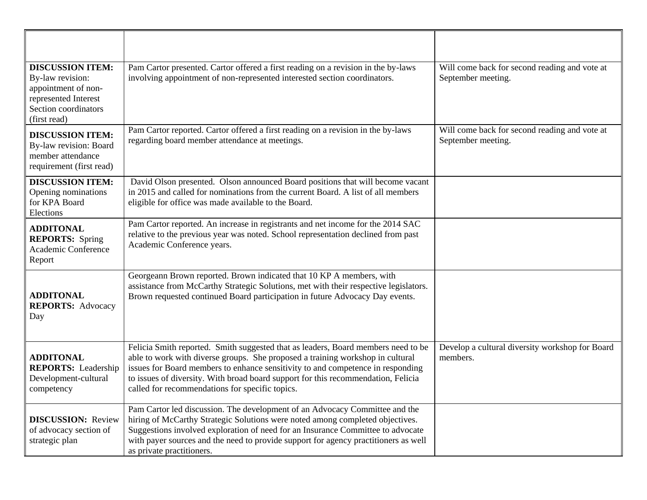| <b>DISCUSSION ITEM:</b><br>By-law revision:<br>appointment of non-<br>represented Interest<br>Section coordinators<br>(first read) | Pam Cartor presented. Cartor offered a first reading on a revision in the by-laws<br>involving appointment of non-represented interested section coordinators.                                                                                                                                                                                                                                 | Will come back for second reading and vote at<br>September meeting. |
|------------------------------------------------------------------------------------------------------------------------------------|------------------------------------------------------------------------------------------------------------------------------------------------------------------------------------------------------------------------------------------------------------------------------------------------------------------------------------------------------------------------------------------------|---------------------------------------------------------------------|
| <b>DISCUSSION ITEM:</b><br>By-law revision: Board<br>member attendance<br>requirement (first read)                                 | Pam Cartor reported. Cartor offered a first reading on a revision in the by-laws<br>regarding board member attendance at meetings.                                                                                                                                                                                                                                                             | Will come back for second reading and vote at<br>September meeting. |
| <b>DISCUSSION ITEM:</b><br>Opening nominations<br>for KPA Board<br>Elections                                                       | David Olson presented. Olson announced Board positions that will become vacant<br>in 2015 and called for nominations from the current Board. A list of all members<br>eligible for office was made available to the Board.                                                                                                                                                                     |                                                                     |
| <b>ADDITONAL</b><br><b>REPORTS:</b> Spring<br>Academic Conference<br>Report                                                        | Pam Cartor reported. An increase in registrants and net income for the 2014 SAC<br>relative to the previous year was noted. School representation declined from past<br>Academic Conference years.                                                                                                                                                                                             |                                                                     |
| <b>ADDITONAL</b><br><b>REPORTS: Advocacy</b><br>Day                                                                                | Georgeann Brown reported. Brown indicated that 10 KP A members, with<br>assistance from McCarthy Strategic Solutions, met with their respective legislators.<br>Brown requested continued Board participation in future Advocacy Day events.                                                                                                                                                   |                                                                     |
| <b>ADDITONAL</b><br><b>REPORTS:</b> Leadership<br>Development-cultural<br>competency                                               | Felicia Smith reported. Smith suggested that as leaders, Board members need to be<br>able to work with diverse groups. She proposed a training workshop in cultural<br>issues for Board members to enhance sensitivity to and competence in responding<br>to issues of diversity. With broad board support for this recommendation, Felicia<br>called for recommendations for specific topics. | Develop a cultural diversity workshop for Board<br>members.         |
| <b>DISCUSSION:</b> Review<br>of advocacy section of<br>strategic plan                                                              | Pam Cartor led discussion. The development of an Advocacy Committee and the<br>hiring of McCarthy Strategic Solutions were noted among completed objectives.<br>Suggestions involved exploration of need for an Insurance Committee to advocate<br>with payer sources and the need to provide support for agency practitioners as well<br>as private practitioners.                            |                                                                     |